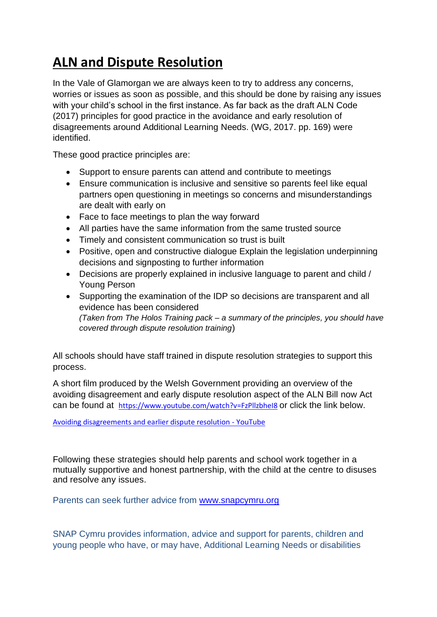## **ALN and Dispute Resolution**

In the Vale of Glamorgan we are always keen to try to address any concerns, worries or issues as soon as possible, and this should be done by raising any issues with your child's school in the first instance. As far back as the draft ALN Code (2017) principles for good practice in the avoidance and early resolution of disagreements around Additional Learning Needs. (WG, 2017. pp. 169) were identified.

These good practice principles are:

- Support to ensure parents can attend and contribute to meetings
- Ensure communication is inclusive and sensitive so parents feel like equal partners open questioning in meetings so concerns and misunderstandings are dealt with early on
- Face to face meetings to plan the way forward
- All parties have the same information from the same trusted source
- Timely and consistent communication so trust is built
- Positive, open and constructive dialogue Explain the legislation underpinning decisions and signposting to further information
- Decisions are properly explained in inclusive language to parent and child / Young Person
- Supporting the examination of the IDP so decisions are transparent and all evidence has been considered *(Taken from The Holos Training pack – a summary of the principles, you should have covered through dispute resolution training*)

All schools should have staff trained in dispute resolution strategies to support this process.

A short film produced by the Welsh Government providing an overview of the avoiding disagreement and early dispute resolution aspect of the ALN Bill now Act can be found at <https://www.youtube.com/watch?v=FzPllzbheI8> or click the link below.

[Avoiding disagreements and earlier dispute resolution -](https://www.youtube.com/watch?v=FzPllzbheI8) YouTube

Following these strategies should help parents and school work together in a mutually supportive and honest partnership, with the child at the centre to disuses and resolve any issues.

Parents can seek further advice from [www.snapcymru.org](https://gbr01.safelinks.protection.outlook.com/?url=http%3A%2F%2Fwww.snapcymru.org%2F&data=04%7C01%7Csredrup%40valeofglamorgan.gov.uk%7Ce2a49bc08ca24045467c08d942fd7bb1%7Ce399d3bb38ed469691cf79851dbf55ec%7C0%7C0%7C637614478729792954%7CUnknown%7CTWFpbGZsb3d8eyJWIjoiMC4wLjAwMDAiLCJQIjoiV2luMzIiLCJBTiI6Ik1haWwiLCJXVCI6Mn0%3D%7C1000&sdata=6klk%2FtR1ieCEUTLPB4G%2FZnC3rldKEv11I4KjrtwCGF8%3D&reserved=0)

SNAP Cymru provides information, advice and support for parents, children and young people who have, or may have, Additional Learning Needs or disabilities